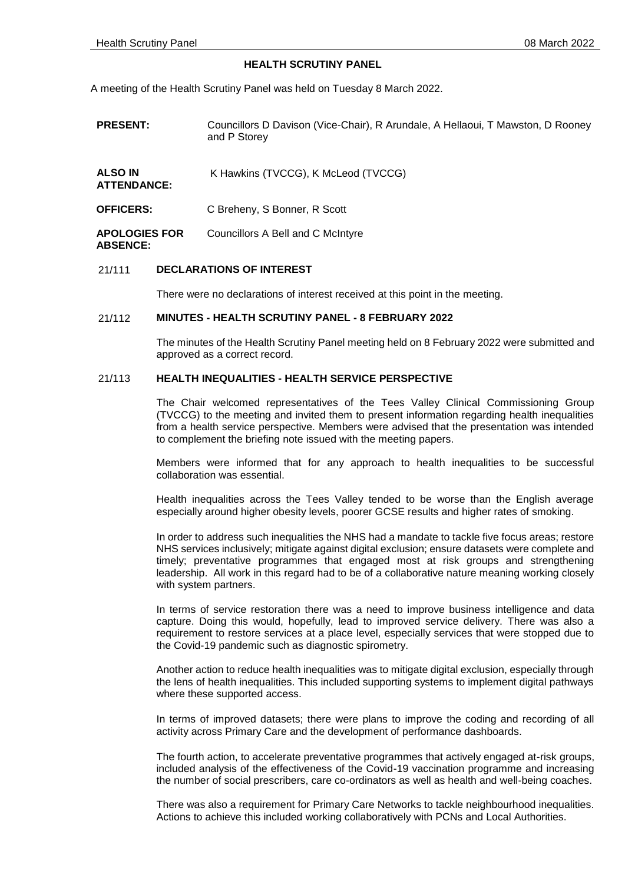## **HEALTH SCRUTINY PANEL**

A meeting of the Health Scrutiny Panel was held on Tuesday 8 March 2022.

| <b>PRESENT:</b> | Councillors D Davison (Vice-Chair), R Arundale, A Hellaoui, T Mawston, D Rooney |
|-----------------|---------------------------------------------------------------------------------|
|                 | and P Storev                                                                    |
|                 |                                                                                 |

**ALSO IN**  K Hawkins (TVCCG), K McLeod (TVCCG)

**ATTENDANCE:**

**OFFICERS:** C Breheny, S Bonner, R Scott

**APOLOGIES FOR ABSENCE:** Councillors A Bell and C McIntyre

# 21/111 **DECLARATIONS OF INTEREST**

There were no declarations of interest received at this point in the meeting.

### 21/112 **MINUTES - HEALTH SCRUTINY PANEL - 8 FEBRUARY 2022**

The minutes of the Health Scrutiny Panel meeting held on 8 February 2022 were submitted and approved as a correct record.

# 21/113 **HEALTH INEQUALITIES - HEALTH SERVICE PERSPECTIVE**

The Chair welcomed representatives of the Tees Valley Clinical Commissioning Group (TVCCG) to the meeting and invited them to present information regarding health inequalities from a health service perspective. Members were advised that the presentation was intended to complement the briefing note issued with the meeting papers.

Members were informed that for any approach to health inequalities to be successful collaboration was essential.

Health inequalities across the Tees Valley tended to be worse than the English average especially around higher obesity levels, poorer GCSE results and higher rates of smoking.

In order to address such inequalities the NHS had a mandate to tackle five focus areas; restore NHS services inclusively; mitigate against digital exclusion; ensure datasets were complete and timely; preventative programmes that engaged most at risk groups and strengthening leadership. All work in this regard had to be of a collaborative nature meaning working closely with system partners.

In terms of service restoration there was a need to improve business intelligence and data capture. Doing this would, hopefully, lead to improved service delivery. There was also a requirement to restore services at a place level, especially services that were stopped due to the Covid-19 pandemic such as diagnostic spirometry.

Another action to reduce health inequalities was to mitigate digital exclusion, especially through the lens of health inequalities. This included supporting systems to implement digital pathways where these supported access.

In terms of improved datasets; there were plans to improve the coding and recording of all activity across Primary Care and the development of performance dashboards.

The fourth action, to accelerate preventative programmes that actively engaged at-risk groups, included analysis of the effectiveness of the Covid-19 vaccination programme and increasing the number of social prescribers, care co-ordinators as well as health and well-being coaches.

There was also a requirement for Primary Care Networks to tackle neighbourhood inequalities. Actions to achieve this included working collaboratively with PCNs and Local Authorities.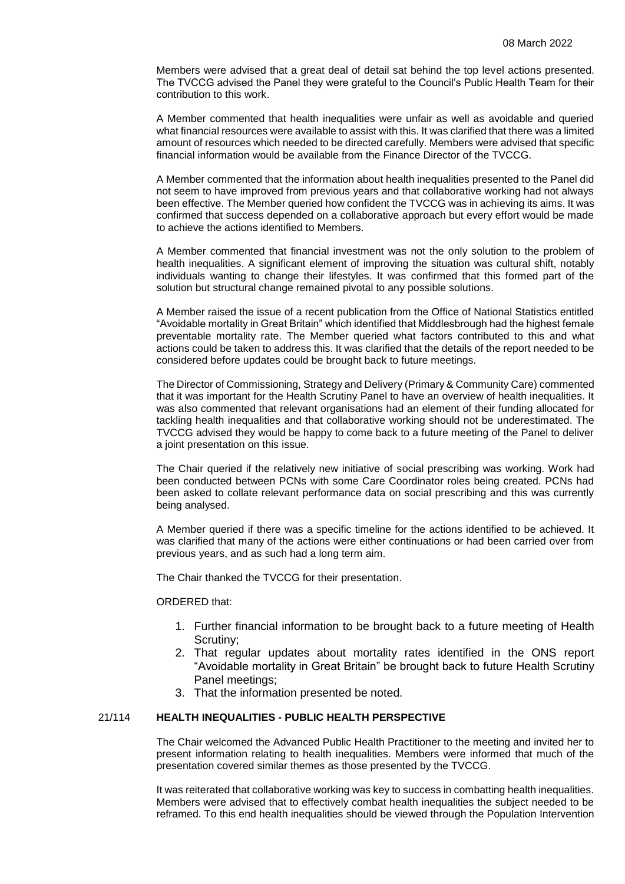Members were advised that a great deal of detail sat behind the top level actions presented. The TVCCG advised the Panel they were grateful to the Council's Public Health Team for their contribution to this work.

A Member commented that health inequalities were unfair as well as avoidable and queried what financial resources were available to assist with this. It was clarified that there was a limited amount of resources which needed to be directed carefully. Members were advised that specific financial information would be available from the Finance Director of the TVCCG.

A Member commented that the information about health inequalities presented to the Panel did not seem to have improved from previous years and that collaborative working had not always been effective. The Member queried how confident the TVCCG was in achieving its aims. It was confirmed that success depended on a collaborative approach but every effort would be made to achieve the actions identified to Members.

A Member commented that financial investment was not the only solution to the problem of health inequalities. A significant element of improving the situation was cultural shift, notably individuals wanting to change their lifestyles. It was confirmed that this formed part of the solution but structural change remained pivotal to any possible solutions.

A Member raised the issue of a recent publication from the Office of National Statistics entitled "Avoidable mortality in Great Britain" which identified that Middlesbrough had the highest female preventable mortality rate. The Member queried what factors contributed to this and what actions could be taken to address this. It was clarified that the details of the report needed to be considered before updates could be brought back to future meetings.

The Director of Commissioning, Strategy and Delivery (Primary & Community Care) commented that it was important for the Health Scrutiny Panel to have an overview of health inequalities. It was also commented that relevant organisations had an element of their funding allocated for tackling health inequalities and that collaborative working should not be underestimated. The TVCCG advised they would be happy to come back to a future meeting of the Panel to deliver a joint presentation on this issue.

The Chair queried if the relatively new initiative of social prescribing was working. Work had been conducted between PCNs with some Care Coordinator roles being created. PCNs had been asked to collate relevant performance data on social prescribing and this was currently being analysed.

A Member queried if there was a specific timeline for the actions identified to be achieved. It was clarified that many of the actions were either continuations or had been carried over from previous years, and as such had a long term aim.

The Chair thanked the TVCCG for their presentation.

### ORDERED that:

- 1. Further financial information to be brought back to a future meeting of Health Scrutiny;
- 2. That regular updates about mortality rates identified in the ONS report "Avoidable mortality in Great Britain" be brought back to future Health Scrutiny Panel meetings;
- 3. That the information presented be noted.

# 21/114 **HEALTH INEQUALITIES - PUBLIC HEALTH PERSPECTIVE**

The Chair welcomed the Advanced Public Health Practitioner to the meeting and invited her to present information relating to health inequalities. Members were informed that much of the presentation covered similar themes as those presented by the TVCCG.

It was reiterated that collaborative working was key to success in combatting health inequalities. Members were advised that to effectively combat health inequalities the subject needed to be reframed. To this end health inequalities should be viewed through the Population Intervention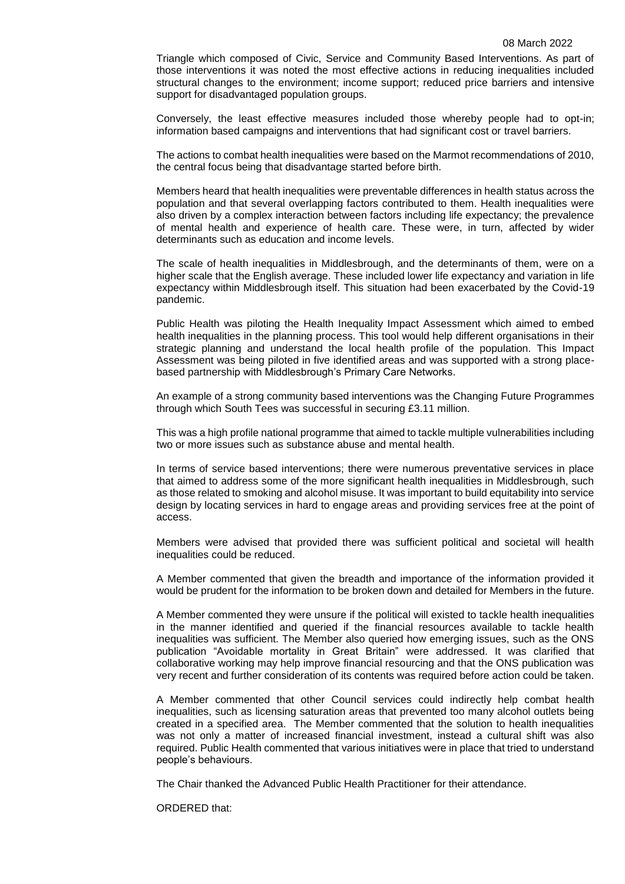Triangle which composed of Civic, Service and Community Based Interventions. As part of those interventions it was noted the most effective actions in reducing inequalities included structural changes to the environment; income support; reduced price barriers and intensive support for disadvantaged population groups.

Conversely, the least effective measures included those whereby people had to opt-in; information based campaigns and interventions that had significant cost or travel barriers.

The actions to combat health inequalities were based on the Marmot recommendations of 2010, the central focus being that disadvantage started before birth.

Members heard that health inequalities were preventable differences in health status across the population and that several overlapping factors contributed to them. Health inequalities were also driven by a complex interaction between factors including life expectancy; the prevalence of mental health and experience of health care. These were, in turn, affected by wider determinants such as education and income levels.

The scale of health inequalities in Middlesbrough, and the determinants of them, were on a higher scale that the English average. These included lower life expectancy and variation in life expectancy within Middlesbrough itself. This situation had been exacerbated by the Covid-19 pandemic.

Public Health was piloting the Health Inequality Impact Assessment which aimed to embed health inequalities in the planning process. This tool would help different organisations in their strategic planning and understand the local health profile of the population. This Impact Assessment was being piloted in five identified areas and was supported with a strong placebased partnership with Middlesbrough's Primary Care Networks.

An example of a strong community based interventions was the Changing Future Programmes through which South Tees was successful in securing £3.11 million.

This was a high profile national programme that aimed to tackle multiple vulnerabilities including two or more issues such as substance abuse and mental health.

In terms of service based interventions; there were numerous preventative services in place that aimed to address some of the more significant health inequalities in Middlesbrough, such as those related to smoking and alcohol misuse. It was important to build equitability into service design by locating services in hard to engage areas and providing services free at the point of access.

Members were advised that provided there was sufficient political and societal will health inequalities could be reduced.

A Member commented that given the breadth and importance of the information provided it would be prudent for the information to be broken down and detailed for Members in the future.

A Member commented they were unsure if the political will existed to tackle health inequalities in the manner identified and queried if the financial resources available to tackle health inequalities was sufficient. The Member also queried how emerging issues, such as the ONS publication "Avoidable mortality in Great Britain" were addressed. It was clarified that collaborative working may help improve financial resourcing and that the ONS publication was very recent and further consideration of its contents was required before action could be taken.

A Member commented that other Council services could indirectly help combat health inequalities, such as licensing saturation areas that prevented too many alcohol outlets being created in a specified area. The Member commented that the solution to health inequalities was not only a matter of increased financial investment, instead a cultural shift was also required. Public Health commented that various initiatives were in place that tried to understand people's behaviours.

The Chair thanked the Advanced Public Health Practitioner for their attendance.

ORDERED that: